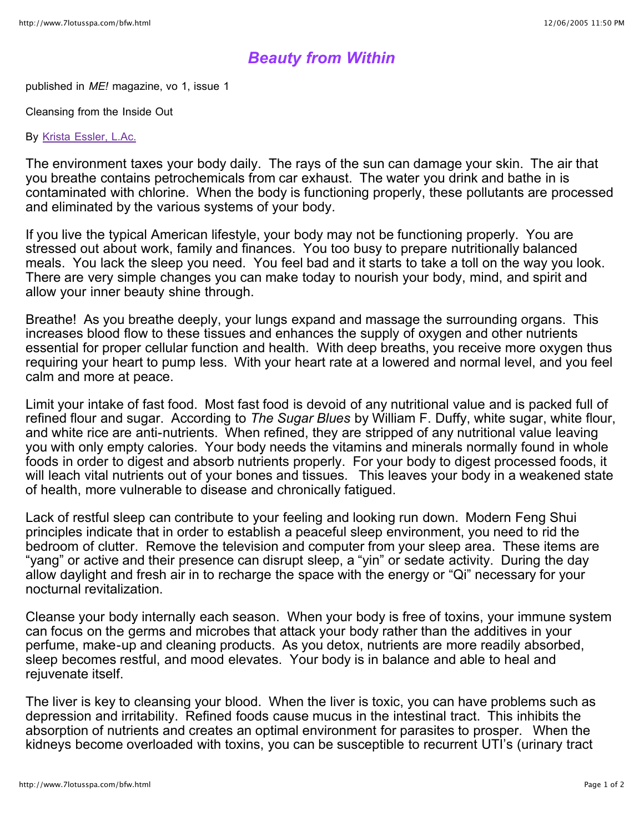## *Beauty from Within*

published in *ME!* magazine, vo 1, issue 1

Cleansing from the Inside Out

By Krista Essler, L.Ac.

The environment taxes your body daily. The rays of the sun can damage your skin. The air that you breathe contains petrochemicals from car exhaust. The water you drink and bathe in is contaminated with chlorine. When the body is functioning properly, these pollutants are processed and eliminated by the various systems of your body.

If you live the typical American lifestyle, your body may not be functioning properly. You are stressed out about work, family and finances. You too busy to prepare nutritionally balanced meals. You lack the sleep you need. You feel bad and it starts to take a toll on the way you look. There are very simple changes you can make today to nourish your body, mind, and spirit and allow your inner beauty shine through.

Breathe! As you breathe deeply, your lungs expand and massage the surrounding organs. This increases blood flow to these tissues and enhances the supply of oxygen and other nutrients essential for proper cellular function and health. With deep breaths, you receive more oxygen thus requiring your heart to pump less. With your heart rate at a lowered and normal level, and you feel calm and more at peace.

Limit your intake of fast food. Most fast food is devoid of any nutritional value and is packed full of refined flour and sugar. According to *The Sugar Blues* by William F. Duffy, white sugar, white flour, and white rice are anti-nutrients. When refined, they are stripped of any nutritional value leaving you with only empty calories. Your body needs the vitamins and minerals normally found in whole foods in order to digest and absorb nutrients properly. For your body to digest processed foods, it will leach vital nutrients out of your bones and tissues. This leaves your body in a weakened state of health, more vulnerable to disease and chronically fatigued.

Lack of restful sleep can contribute to your feeling and looking run down. Modern Feng Shui principles indicate that in order to establish a peaceful sleep environment, you need to rid the bedroom of clutter. Remove the television and computer from your sleep area. These items are "yang" or active and their presence can disrupt sleep, a "yin" or sedate activity. During the day allow daylight and fresh air in to recharge the space with the energy or "Qi" necessary for your nocturnal revitalization.

Cleanse your body internally each season. When your body is free of toxins, your immune system can focus on the germs and microbes that attack your body rather than the additives in your perfume, make-up and cleaning products. As you detox, nutrients are more readily absorbed, sleep becomes restful, and mood elevates. Your body is in balance and able to heal and rejuvenate itself.

The liver is key to cleansing your blood. When the liver is toxic, you can have problems such as depression and irritability. Refined foods cause mucus in the intestinal tract. This inhibits the absorption of nutrients and creates an optimal environment for parasites to prosper. When the kidneys become overloaded with toxins, you can be susceptible to recurrent UTI's (urinary tract